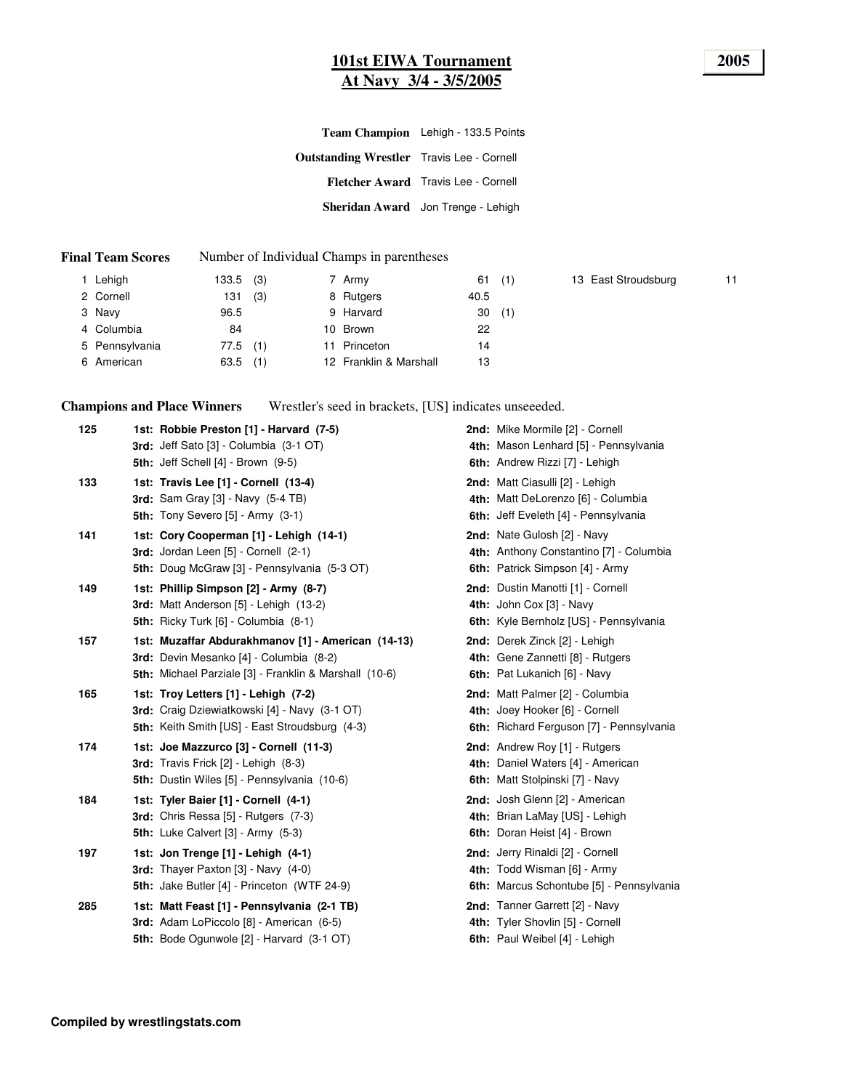#### **101st EIWA Tournament 2005 At Navy 3/4 - 3/5/2005**

|                                                  | Team Champion Lehigh - 133.5 Points        |
|--------------------------------------------------|--------------------------------------------|
| <b>Outstanding Wrestler</b> Travis Lee - Cornell |                                            |
|                                                  | <b>Fletcher Award</b> Travis Lee - Cornell |
|                                                  | Sheridan Award Jon Trenge - Lehigh         |
|                                                  |                                            |

#### **Final Team Scores** Number of Individual Champs in parentheses

| 1 Lehigh       | $133.5$ (3) | 7 Army                 | $61$ (1) |
|----------------|-------------|------------------------|----------|
| 2 Cornell      | (3)<br>131  | 8 Rutgers              | 40.5     |
| 3 Navy         | 96.5        | 9 Harvard              | 30(1)    |
| 4 Columbia     | 84          | 10 Brown               | 22       |
| 5 Pennsylvania | $77.5$ (1)  | 11 Princeton           | 14       |
| 6 American     | $63.5$ (1)  | 12 Franklin & Marshall | 13       |

13 East Stroudsburg 11

**Champions and Place Winners** Wrestler's seed in brackets, [US] indicates unseeeded.

| 125 | 1st: Robbie Preston [1] - Harvard (7-5)<br>3rd: Jeff Sato [3] - Columbia (3-1 OT)<br><b>5th: Jeff Schell [4] - Brown (9-5)</b>                          | 2nd: Mike Mormile [2] - Cornell<br>4th: Mason Lenhard [5] - Pennsylvania<br>6th: Andrew Rizzi [7] - Lehigh    |
|-----|---------------------------------------------------------------------------------------------------------------------------------------------------------|---------------------------------------------------------------------------------------------------------------|
| 133 | 1st: Travis Lee [1] - Cornell (13-4)<br><b>3rd:</b> Sam Gray [3] - Navy (5-4 TB)<br>5th: Tony Severo $[5]$ - Army $(3-1)$                               | 2nd: Matt Ciasulli [2] - Lehigh<br>4th: Matt DeLorenzo [6] - Columbia<br>6th: Jeff Eveleth [4] - Pennsylvania |
| 141 | 1st: Cory Cooperman [1] - Lehigh (14-1)<br>3rd: Jordan Leen [5] - Cornell (2-1)<br>5th: Doug McGraw [3] - Pennsylvania (5-3 OT)                         | 2nd: Nate Gulosh [2] - Navy<br>4th: Anthony Constantino [7] - Columbia<br>6th: Patrick Simpson [4] - Army     |
| 149 | 1st: Phillip Simpson [2] - Army (8-7)<br>3rd: Matt Anderson [5] - Lehigh (13-2)<br>5th: Ricky Turk [6] - Columbia (8-1)                                 | 2nd: Dustin Manotti [1] - Cornell<br>4th: John Cox [3] - Navy<br>6th: Kyle Bernholz [US] - Pennsylvania       |
| 157 | 1st: Muzaffar Abdurakhmanov [1] - American (14-13)<br>3rd: Devin Mesanko [4] - Columbia (8-2)<br>5th: Michael Parziale [3] - Franklin & Marshall (10-6) | 2nd: Derek Zinck [2] - Lehigh<br>4th: Gene Zannetti [8] - Rutgers<br>6th: Pat Lukanich [6] - Navy             |
| 165 | 1st: Troy Letters [1] - Lehigh (7-2)<br>3rd: Craig Dziewiatkowski [4] - Navy (3-1 OT)<br>5th: Keith Smith [US] - East Stroudsburg (4-3)                 | 2nd: Matt Palmer [2] - Columbia<br>4th: Joey Hooker [6] - Cornell<br>6th: Richard Ferguson [7] - Pennsylvania |
| 174 | 1st: Joe Mazzurco [3] - Cornell (11-3)<br>3rd: Travis Frick [2] - Lehigh (8-3)<br>5th: Dustin Wiles [5] - Pennsylvania (10-6)                           | 2nd: Andrew Roy [1] - Rutgers<br>4th: Daniel Waters [4] - American<br>6th: Matt Stolpinski [7] - Navy         |
| 184 | 1st: Tyler Baier [1] - Cornell (4-1)<br>3rd: Chris Ressa [5] - Rutgers (7-3)<br><b>5th:</b> Luke Calvert [3] - Army (5-3)                               | 2nd: Josh Glenn [2] - American<br>4th: Brian LaMay [US] - Lehigh<br>6th: Doran Heist [4] - Brown              |
| 197 | 1st: Jon Trenge [1] - Lehigh (4-1)<br>3rd: Thayer Paxton [3] - Navy (4-0)<br>5th: Jake Butler [4] - Princeton (WTF 24-9)                                | 2nd: Jerry Rinaldi [2] - Cornell<br>4th: Todd Wisman [6] - Army<br>6th: Marcus Schontube [5] - Pennsylvania   |
| 285 | 1st: Matt Feast [1] - Pennsylvania (2-1 TB)<br>3rd: Adam LoPiccolo [8] - American (6-5)<br>5th: Bode Ogunwole [2] - Harvard (3-1 OT)                    | 2nd: Tanner Garrett [2] - Navy<br>4th: Tyler Shovlin [5] - Cornell<br>6th: Paul Weibel [4] - Lehigh           |
|     |                                                                                                                                                         |                                                                                                               |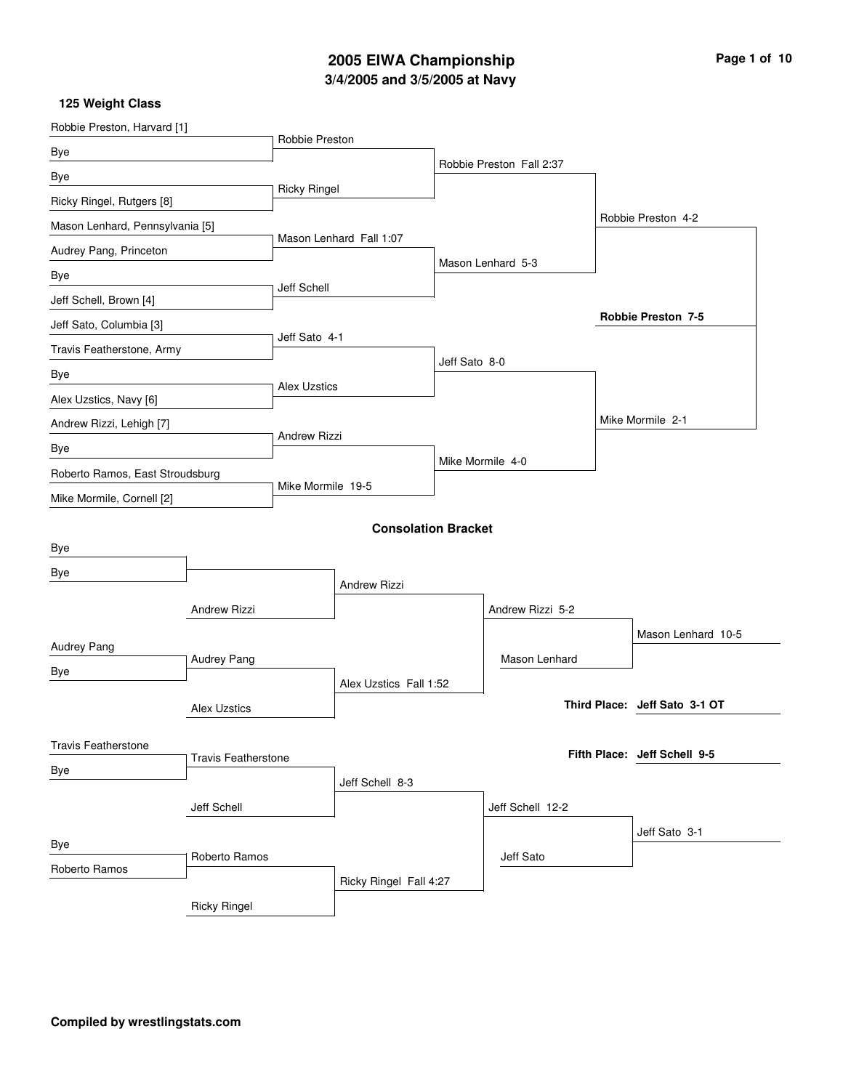# **3/4/2005 and 3/5/2005 at Navy 2005 EIWA Championship Page 1 of 10**

| Robbie Preston, Harvard [1]     |                                 | Robbie Preston      |                            |               |                          |                               |
|---------------------------------|---------------------------------|---------------------|----------------------------|---------------|--------------------------|-------------------------------|
| Bye                             |                                 |                     |                            |               |                          |                               |
| Bye                             |                                 |                     |                            |               | Robbie Preston Fall 2:37 |                               |
| Ricky Ringel, Rutgers [8]       |                                 | <b>Ricky Ringel</b> |                            |               |                          |                               |
| Mason Lenhard, Pennsylvania [5] |                                 |                     |                            |               |                          | Robbie Preston 4-2            |
| Audrey Pang, Princeton          |                                 |                     | Mason Lenhard Fall 1:07    |               |                          |                               |
| Bye                             |                                 |                     |                            |               | Mason Lenhard 5-3        |                               |
| Jeff Schell, Brown [4]          |                                 | Jeff Schell         |                            |               |                          |                               |
| Jeff Sato, Columbia [3]         |                                 |                     |                            |               |                          | <b>Robbie Preston 7-5</b>     |
| Travis Featherstone, Army       | Jeff Sato 4-1                   |                     |                            |               |                          |                               |
| Bye                             |                                 |                     |                            | Jeff Sato 8-0 |                          |                               |
| Alex Uzstics, Navy [6]          |                                 | <b>Alex Uzstics</b> |                            |               |                          |                               |
| Andrew Rizzi, Lehigh [7]        |                                 |                     |                            |               |                          | Mike Mormile 2-1              |
| Bye                             |                                 | <b>Andrew Rizzi</b> |                            |               |                          |                               |
|                                 | Roberto Ramos, East Stroudsburg |                     |                            |               | Mike Mormile 4-0         |                               |
| Mike Mormile, Cornell [2]       |                                 | Mike Mormile 19-5   |                            |               |                          |                               |
|                                 |                                 |                     |                            |               |                          |                               |
| Bye                             |                                 |                     | <b>Consolation Bracket</b> |               |                          |                               |
| Bye                             |                                 |                     |                            |               |                          |                               |
|                                 |                                 |                     | <b>Andrew Rizzi</b>        |               |                          |                               |
|                                 | Andrew Rizzi                    |                     |                            |               | Andrew Rizzi 5-2         |                               |
| Audrey Pang                     |                                 |                     |                            |               |                          | Mason Lenhard 10-5            |
|                                 | Audrey Pang                     |                     |                            |               | Mason Lenhard            |                               |
| Bye                             |                                 |                     | Alex Uzstics Fall 1:52     |               |                          |                               |
|                                 | <b>Alex Uzstics</b>             |                     |                            |               |                          | Third Place: Jeff Sato 3-1 OT |
|                                 |                                 |                     |                            |               |                          |                               |
| <b>Travis Featherstone</b>      | <b>Travis Featherstone</b>      |                     |                            |               |                          | Fifth Place: Jeff Schell 9-5  |
| Bye                             |                                 |                     | Jeff Schell 8-3            |               |                          |                               |
|                                 | Jeff Schell                     |                     |                            |               | Jeff Schell 12-2         |                               |
|                                 |                                 |                     |                            |               |                          | Jeff Sato 3-1                 |
| Bye                             | Roberto Ramos                   |                     |                            |               | Jeff Sato                |                               |
| Roberto Ramos                   |                                 |                     | Ricky Ringel Fall 4:27     |               |                          |                               |
|                                 | <b>Ricky Ringel</b>             |                     |                            |               |                          |                               |
|                                 |                                 |                     |                            |               |                          |                               |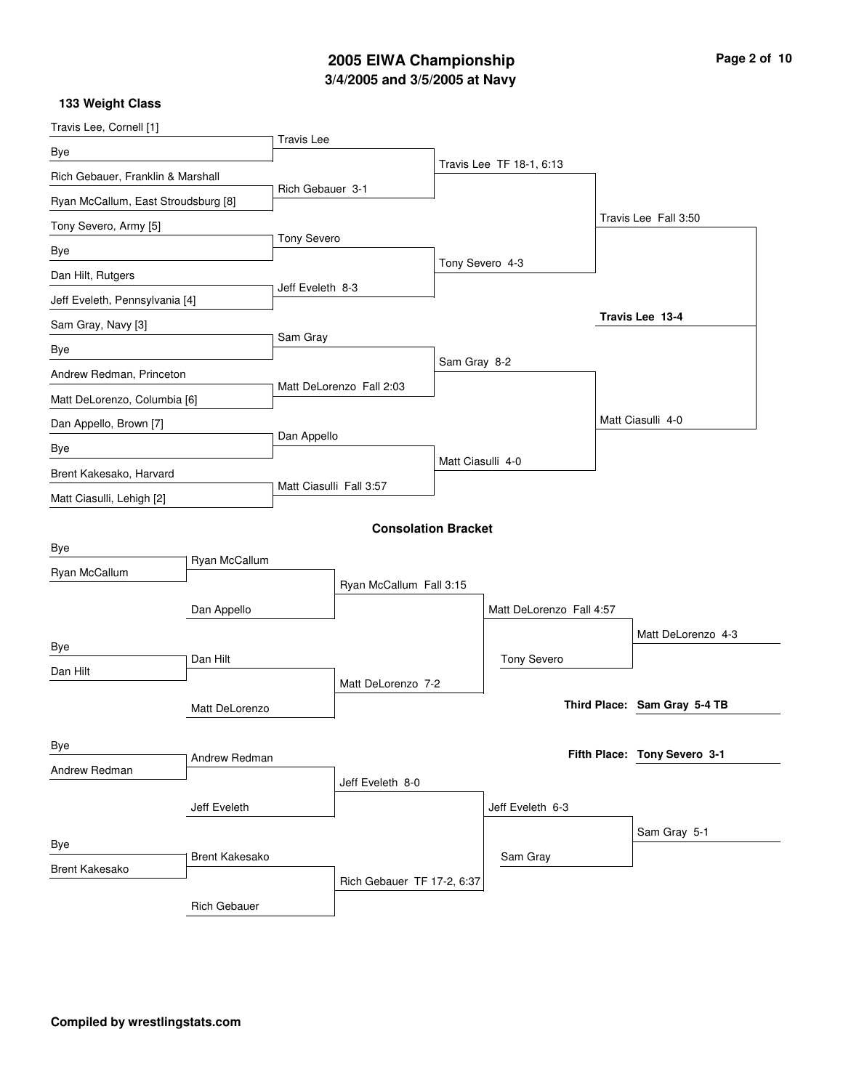# **3/4/2005 and 3/5/2005 at Navy 2005 EIWA Championship Page 2 of 10**

| Travis Lee, Cornell [1]                                  |                       |                   |                            |                   |                          |  |                              |
|----------------------------------------------------------|-----------------------|-------------------|----------------------------|-------------------|--------------------------|--|------------------------------|
| Bye                                                      |                       | <b>Travis Lee</b> |                            |                   |                          |  |                              |
| Rich Gebauer, Franklin & Marshall                        |                       |                   |                            |                   | Travis Lee TF 18-1, 6:13 |  |                              |
| Ryan McCallum, East Stroudsburg [8]                      |                       | Rich Gebauer 3-1  |                            |                   |                          |  |                              |
| Tony Severo, Army [5]                                    |                       |                   |                            |                   |                          |  | Travis Lee Fall 3:50         |
| Bye                                                      |                       | Tony Severo       |                            |                   |                          |  |                              |
| Dan Hilt, Rutgers                                        |                       |                   |                            | Tony Severo 4-3   |                          |  |                              |
| Jeff Eveleth, Pennsylvania [4]                           |                       | Jeff Eveleth 8-3  |                            |                   |                          |  |                              |
| Sam Gray, Navy [3]                                       |                       |                   |                            |                   |                          |  | Travis Lee 13-4              |
| Bye                                                      |                       | Sam Gray          |                            |                   |                          |  |                              |
| Andrew Redman, Princeton<br>Matt DeLorenzo, Columbia [6] |                       |                   |                            | Sam Gray 8-2      |                          |  |                              |
|                                                          |                       |                   | Matt DeLorenzo Fall 2:03   |                   |                          |  |                              |
| Dan Appello, Brown [7]                                   |                       |                   |                            |                   |                          |  | Matt Ciasulli 4-0            |
| Bye                                                      |                       | Dan Appello       |                            |                   |                          |  |                              |
| Brent Kakesako, Harvard                                  |                       |                   |                            | Matt Ciasulli 4-0 |                          |  |                              |
| Matt Ciasulli, Lehigh [2]                                |                       |                   | Matt Ciasulli Fall 3:57    |                   |                          |  |                              |
|                                                          |                       |                   | <b>Consolation Bracket</b> |                   |                          |  |                              |
| Bye                                                      |                       |                   |                            |                   |                          |  |                              |
| Ryan McCallum                                            | Ryan McCallum         |                   |                            |                   |                          |  |                              |
|                                                          |                       |                   | Ryan McCallum Fall 3:15    |                   |                          |  |                              |
|                                                          | Dan Appello           |                   |                            |                   | Matt DeLorenzo Fall 4:57 |  |                              |
| Bye                                                      |                       |                   |                            |                   |                          |  | Matt DeLorenzo 4-3           |
| Dan Hilt                                                 | Dan Hilt              |                   |                            |                   | Tony Severo              |  |                              |
|                                                          |                       |                   | Matt DeLorenzo 7-2         |                   |                          |  | Third Place: Sam Gray 5-4 TB |
|                                                          | Matt DeLorenzo        |                   |                            |                   |                          |  |                              |
| Bye                                                      |                       |                   |                            |                   |                          |  | Fifth Place: Tony Severo 3-1 |
| Andrew Redman                                            | Andrew Redman         |                   |                            |                   |                          |  |                              |
|                                                          |                       |                   | Jeff Eveleth 8-0           |                   |                          |  |                              |
|                                                          | Jeff Eveleth          |                   |                            |                   | Jeff Eveleth 6-3         |  |                              |
| Bye                                                      |                       |                   |                            |                   |                          |  | Sam Gray 5-1                 |
| <b>Brent Kakesako</b>                                    | <b>Brent Kakesako</b> |                   |                            |                   | Sam Gray                 |  |                              |
|                                                          |                       |                   | Rich Gebauer TF 17-2, 6:37 |                   |                          |  |                              |
|                                                          | <b>Rich Gebauer</b>   |                   |                            |                   |                          |  |                              |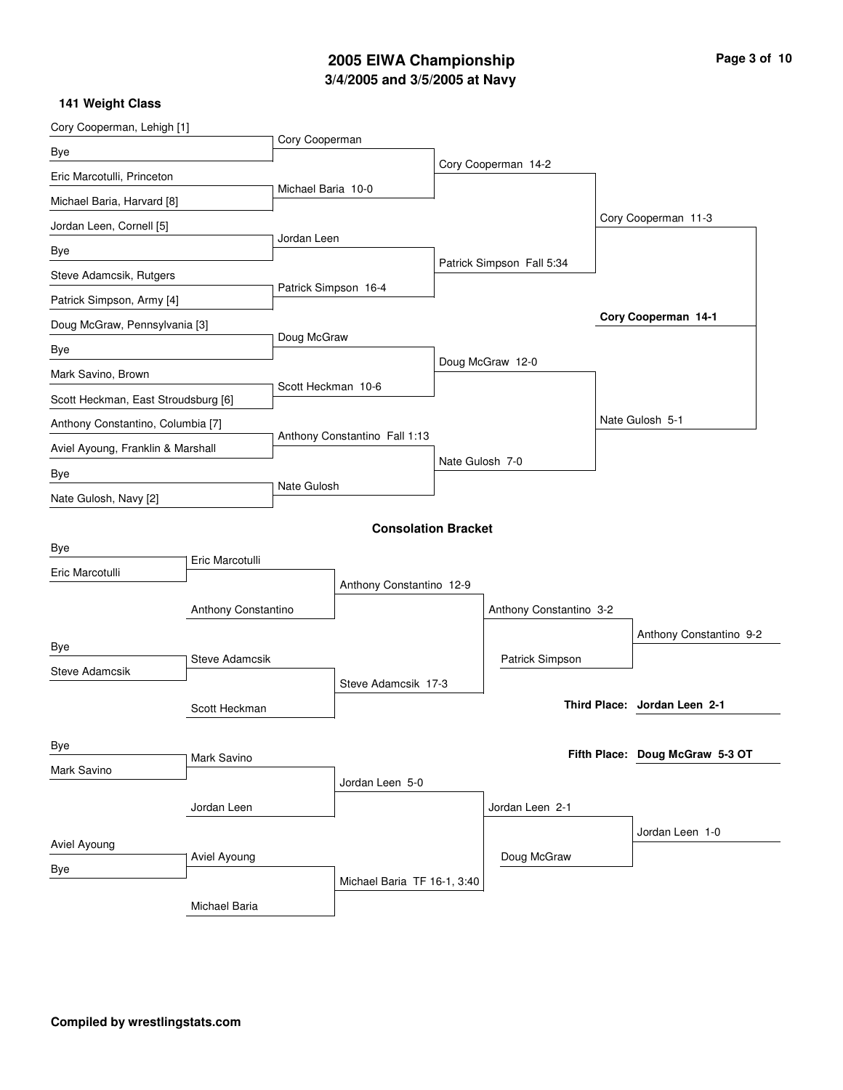# **3/4/2005 and 3/5/2005 at Navy 2005 EIWA Championship Page 3 of 10**

| Cory Cooperman, Lehigh [1]          |                       |                      |                               |                 |                           |                                 |  |
|-------------------------------------|-----------------------|----------------------|-------------------------------|-----------------|---------------------------|---------------------------------|--|
| Bye                                 | Cory Cooperman        |                      |                               |                 |                           |                                 |  |
| Eric Marcotulli, Princeton          |                       |                      |                               |                 | Cory Cooperman 14-2       |                                 |  |
| Michael Baria, Harvard [8]          |                       | Michael Baria 10-0   |                               |                 |                           |                                 |  |
| Jordan Leen, Cornell [5]            |                       |                      |                               |                 |                           | Cory Cooperman 11-3             |  |
| Bye                                 |                       | Jordan Leen          |                               |                 |                           |                                 |  |
| Steve Adamcsik, Rutgers             |                       |                      |                               |                 | Patrick Simpson Fall 5:34 |                                 |  |
| Patrick Simpson, Army [4]           |                       | Patrick Simpson 16-4 |                               |                 |                           |                                 |  |
| Doug McGraw, Pennsylvania [3]       |                       |                      |                               |                 |                           | Cory Cooperman 14-1             |  |
| Bye                                 |                       |                      | Doug McGraw                   |                 |                           |                                 |  |
| Mark Savino, Brown                  |                       |                      |                               |                 | Doug McGraw 12-0          |                                 |  |
| Scott Heckman, East Stroudsburg [6] |                       | Scott Heckman 10-6   |                               |                 |                           |                                 |  |
| Anthony Constantino, Columbia [7]   |                       |                      |                               |                 |                           | Nate Gulosh 5-1                 |  |
| Aviel Ayoung, Franklin & Marshall   |                       |                      | Anthony Constantino Fall 1:13 |                 |                           |                                 |  |
| Bye                                 |                       |                      |                               | Nate Gulosh 7-0 |                           |                                 |  |
| Nate Gulosh, Navy [2]               |                       | Nate Gulosh          |                               |                 |                           |                                 |  |
|                                     |                       |                      |                               |                 |                           |                                 |  |
| Bye                                 |                       |                      | <b>Consolation Bracket</b>    |                 |                           |                                 |  |
| Eric Marcotulli                     | Eric Marcotulli       |                      |                               |                 |                           |                                 |  |
|                                     |                       |                      | Anthony Constantino 12-9      |                 |                           |                                 |  |
|                                     | Anthony Constantino   |                      |                               |                 | Anthony Constantino 3-2   |                                 |  |
|                                     |                       |                      |                               |                 |                           | Anthony Constantino 9-2         |  |
| Bye                                 | <b>Steve Adamcsik</b> |                      |                               |                 | Patrick Simpson           |                                 |  |
| <b>Steve Adamcsik</b>               |                       |                      | Steve Adamcsik 17-3           |                 |                           |                                 |  |
|                                     | Scott Heckman         |                      |                               |                 |                           | Third Place: Jordan Leen 2-1    |  |
|                                     |                       |                      |                               |                 |                           |                                 |  |
| Bye                                 | Mark Savino           |                      |                               |                 |                           | Fifth Place: Doug McGraw 5-3 OT |  |
| Mark Savino                         |                       |                      | Jordan Leen 5-0               |                 |                           |                                 |  |
|                                     | Jordan Leen           |                      |                               |                 | Jordan Leen 2-1           |                                 |  |
|                                     |                       |                      |                               |                 |                           | Jordan Leen 1-0                 |  |
| Aviel Ayoung                        | Aviel Ayoung          |                      |                               |                 | Doug McGraw               |                                 |  |
| Bye                                 |                       |                      | Michael Baria TF 16-1, 3:40   |                 |                           |                                 |  |
|                                     | Michael Baria         |                      |                               |                 |                           |                                 |  |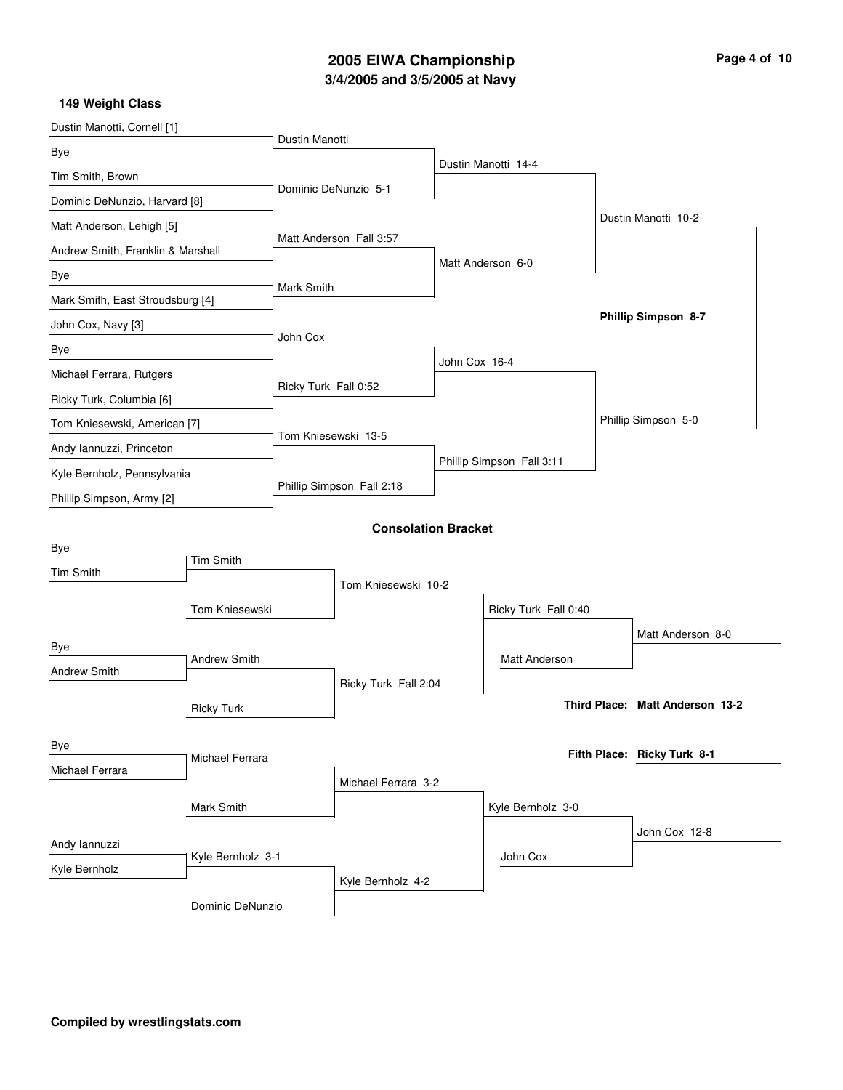# **3/4/2005 and 3/5/2005 at Navy 2005 EIWA Championship Page 4 of 10**

| Dustin Manotti, Cornell [1]       |                     |                           |                            |               |                           |                                 |
|-----------------------------------|---------------------|---------------------------|----------------------------|---------------|---------------------------|---------------------------------|
| Bye                               |                     | Dustin Manotti            |                            |               |                           |                                 |
| Tim Smith, Brown                  |                     |                           |                            |               | Dustin Manotti 14-4       |                                 |
| Dominic DeNunzio, Harvard [8]     |                     |                           | Dominic DeNunzio 5-1       |               |                           |                                 |
| Matt Anderson, Lehigh [5]         |                     |                           |                            |               |                           | Dustin Manotti 10-2             |
| Andrew Smith, Franklin & Marshall |                     |                           | Matt Anderson Fall 3:57    |               |                           |                                 |
| Bye                               |                     |                           |                            |               | Matt Anderson 6-0         |                                 |
| Mark Smith, East Stroudsburg [4]  |                     | Mark Smith                |                            |               |                           |                                 |
| John Cox, Navy [3]                |                     |                           |                            |               |                           | Phillip Simpson 8-7             |
| Bye                               |                     | John Cox                  |                            |               |                           |                                 |
| Michael Ferrara, Rutgers          |                     |                           |                            | John Cox 16-4 |                           |                                 |
| Ricky Turk, Columbia [6]          |                     | Ricky Turk Fall 0:52      |                            |               |                           |                                 |
| Tom Kniesewski, American [7]      |                     |                           |                            |               |                           | Phillip Simpson 5-0             |
| Andy Iannuzzi, Princeton          |                     | Tom Kniesewski 13-5       |                            |               |                           |                                 |
| Kyle Bernholz, Pennsylvania       |                     |                           |                            |               | Phillip Simpson Fall 3:11 |                                 |
| Phillip Simpson, Army [2]         |                     | Phillip Simpson Fall 2:18 |                            |               |                           |                                 |
|                                   |                     |                           | <b>Consolation Bracket</b> |               |                           |                                 |
| Bye                               |                     |                           |                            |               |                           |                                 |
| Tim Smith                         | <b>Tim Smith</b>    |                           |                            |               |                           |                                 |
|                                   |                     |                           | Tom Kniesewski 10-2        |               |                           |                                 |
|                                   | Tom Kniesewski      |                           |                            |               | Ricky Turk Fall 0:40      |                                 |
| Bye                               |                     |                           |                            |               |                           | Matt Anderson 8-0               |
| Andrew Smith                      | <b>Andrew Smith</b> |                           |                            |               | <b>Matt Anderson</b>      |                                 |
|                                   |                     |                           | Ricky Turk Fall 2:04       |               |                           |                                 |
|                                   | <b>Ricky Turk</b>   |                           |                            |               |                           | Third Place: Matt Anderson 13-2 |
| Bye                               |                     |                           |                            |               |                           |                                 |
| Michael Ferrara                   | Michael Ferrara     |                           |                            |               |                           | Fifth Place: Ricky Turk 8-1     |
|                                   |                     |                           | Michael Ferrara 3-2        |               |                           |                                 |
|                                   | Mark Smith          |                           |                            |               | Kyle Bernholz 3-0         |                                 |
|                                   |                     |                           |                            |               |                           | John Cox 12-8                   |
| Andy lannuzzi                     | Kyle Bernholz 3-1   |                           |                            |               | John Cox                  |                                 |
| Kyle Bernholz                     |                     |                           | Kyle Bernholz 4-2          |               |                           |                                 |
|                                   | Dominic DeNunzio    |                           |                            |               |                           |                                 |
|                                   |                     |                           |                            |               |                           |                                 |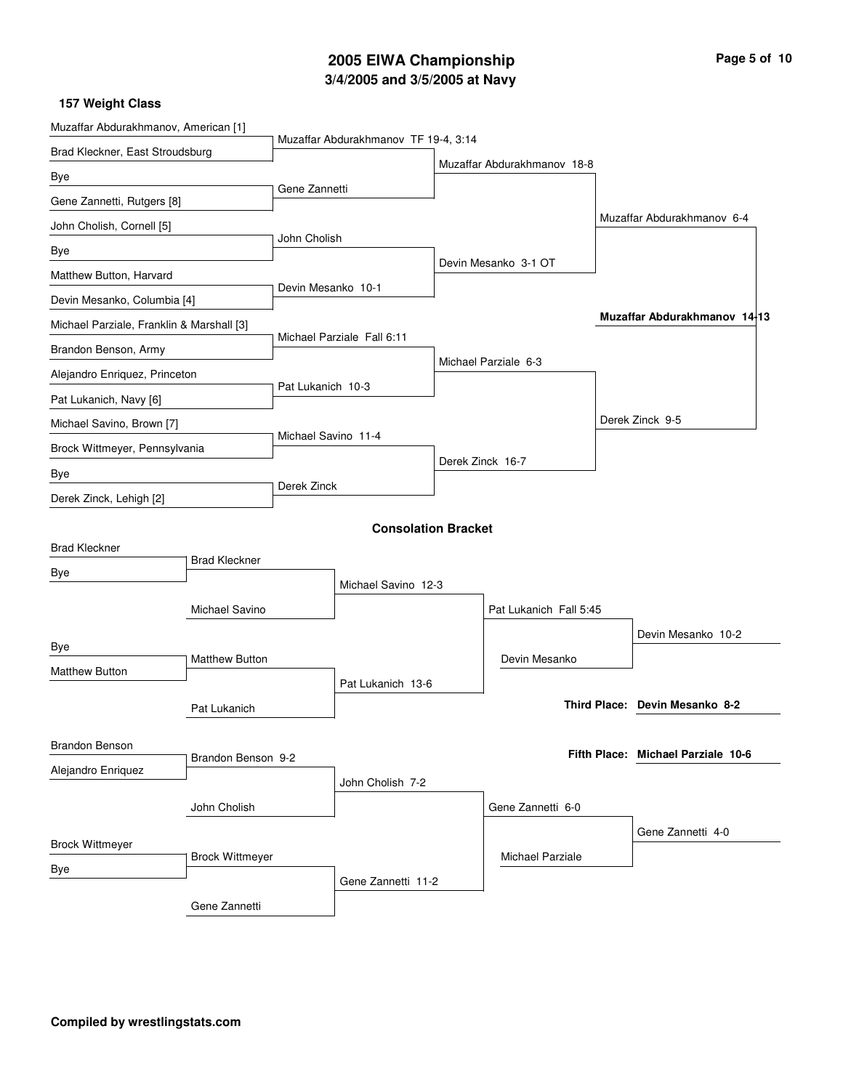# **3/4/2005 and 3/5/2005 at Navy 2005 EIWA Championship Page 5 of 10**

| Muzaffar Abdurakhmanov, American [1]      |                        |                     |                                      |                        |                             |  |                                    |  |
|-------------------------------------------|------------------------|---------------------|--------------------------------------|------------------------|-----------------------------|--|------------------------------------|--|
| Brad Kleckner, East Stroudsburg           |                        |                     | Muzaffar Abdurakhmanov TF 19-4, 3:14 |                        | Muzaffar Abdurakhmanov 18-8 |  |                                    |  |
| Bye                                       |                        |                     |                                      |                        |                             |  |                                    |  |
| Gene Zannetti, Rutgers [8]                |                        | Gene Zannetti       |                                      |                        |                             |  |                                    |  |
| John Cholish, Cornell [5]                 |                        |                     |                                      |                        |                             |  | Muzaffar Abdurakhmanov 6-4         |  |
| Bye                                       |                        | John Cholish        |                                      |                        |                             |  |                                    |  |
| Matthew Button, Harvard                   |                        |                     |                                      |                        | Devin Mesanko 3-1 OT        |  |                                    |  |
| Devin Mesanko, Columbia [4]               |                        | Devin Mesanko 10-1  |                                      |                        |                             |  |                                    |  |
| Michael Parziale, Franklin & Marshall [3] |                        |                     |                                      |                        |                             |  | Muzaffar Abdurakhmanov 14-13       |  |
| Brandon Benson, Army                      |                        |                     | Michael Parziale Fall 6:11           |                        |                             |  |                                    |  |
| Alejandro Enriquez, Princeton             |                        |                     |                                      |                        | Michael Parziale 6-3        |  |                                    |  |
| Pat Lukanich, Navy [6]                    |                        | Pat Lukanich 10-3   |                                      |                        |                             |  |                                    |  |
| Michael Savino, Brown [7]                 |                        |                     |                                      |                        |                             |  | Derek Zinck 9-5                    |  |
| Brock Wittmeyer, Pennsylvania             |                        | Michael Savino 11-4 |                                      |                        |                             |  |                                    |  |
| Bye                                       |                        |                     |                                      |                        | Derek Zinck 16-7            |  |                                    |  |
| Derek Zinck, Lehigh [2]                   |                        | Derek Zinck         |                                      |                        |                             |  |                                    |  |
|                                           |                        |                     | <b>Consolation Bracket</b>           |                        |                             |  |                                    |  |
| <b>Brad Kleckner</b>                      | <b>Brad Kleckner</b>   |                     |                                      |                        |                             |  |                                    |  |
| Bye                                       |                        |                     | Michael Savino 12-3                  |                        |                             |  |                                    |  |
|                                           | Michael Savino         |                     |                                      | Pat Lukanich Fall 5:45 |                             |  |                                    |  |
|                                           |                        |                     |                                      |                        |                             |  | Devin Mesanko 10-2                 |  |
| Bye                                       | <b>Matthew Button</b>  |                     |                                      |                        | Devin Mesanko               |  |                                    |  |
| Matthew Button                            |                        |                     | Pat Lukanich 13-6                    |                        |                             |  |                                    |  |
|                                           | Pat Lukanich           |                     |                                      |                        |                             |  | Third Place: Devin Mesanko 8-2     |  |
|                                           |                        |                     |                                      |                        |                             |  |                                    |  |
| <b>Brandon Benson</b>                     | Brandon Benson 9-2     |                     |                                      |                        |                             |  | Fifth Place: Michael Parziale 10-6 |  |
| Alejandro Enriquez                        |                        |                     | John Cholish 7-2                     |                        |                             |  |                                    |  |
|                                           | John Cholish           |                     |                                      |                        | Gene Zannetti 6-0           |  |                                    |  |
|                                           |                        |                     |                                      |                        |                             |  | Gene Zannetti 4-0                  |  |
| <b>Brock Wittmeyer</b>                    | <b>Brock Wittmeyer</b> |                     |                                      |                        | <b>Michael Parziale</b>     |  |                                    |  |
| Bye                                       |                        |                     | Gene Zannetti 11-2                   |                        |                             |  |                                    |  |
|                                           | Gene Zannetti          |                     |                                      |                        |                             |  |                                    |  |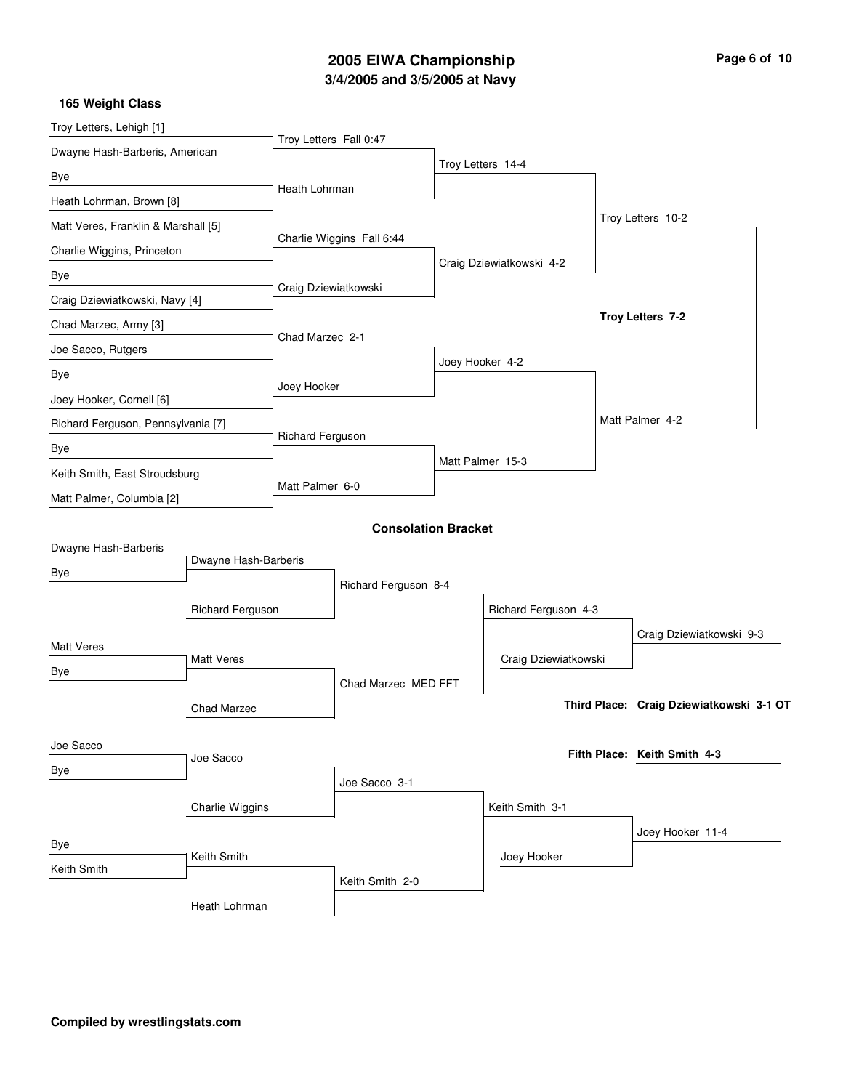# **3/4/2005 and 3/5/2005 at Navy 2005 EIWA Championship Page 6 of 10**

| Troy Letters, Lehigh [1]            |                      |                        |                            |                 |                          |                                          |
|-------------------------------------|----------------------|------------------------|----------------------------|-----------------|--------------------------|------------------------------------------|
| Dwayne Hash-Barberis, American      |                      | Troy Letters Fall 0:47 |                            |                 |                          |                                          |
| Bye                                 |                      |                        |                            |                 | Troy Letters 14-4        |                                          |
| Heath Lohrman, Brown [8]            |                      | Heath Lohrman          |                            |                 |                          |                                          |
| Matt Veres, Franklin & Marshall [5] |                      |                        |                            |                 |                          | Troy Letters 10-2                        |
| Charlie Wiggins, Princeton          |                      |                        | Charlie Wiggins Fall 6:44  |                 |                          |                                          |
| Bye                                 |                      |                        |                            |                 | Craig Dziewiatkowski 4-2 |                                          |
| Craig Dziewiatkowski, Navy [4]      |                      |                        | Craig Dziewiatkowski       |                 |                          |                                          |
| Chad Marzec, Army [3]               |                      |                        |                            |                 |                          | Troy Letters 7-2                         |
| Joe Sacco, Rutgers                  |                      | Chad Marzec 2-1        |                            |                 |                          |                                          |
| Bye                                 |                      |                        |                            | Joey Hooker 4-2 |                          |                                          |
| Joey Hooker, Cornell [6]            |                      | Joey Hooker            |                            |                 |                          |                                          |
| Richard Ferguson, Pennsylvania [7]  |                      |                        |                            |                 |                          | Matt Palmer 4-2                          |
| Bye                                 |                      | Richard Ferguson       |                            |                 |                          |                                          |
| Keith Smith, East Stroudsburg       |                      |                        |                            |                 | Matt Palmer 15-3         |                                          |
| Matt Palmer, Columbia [2]           |                      | Matt Palmer 6-0        |                            |                 |                          |                                          |
|                                     |                      |                        | <b>Consolation Bracket</b> |                 |                          |                                          |
| Dwayne Hash-Barberis                |                      |                        |                            |                 |                          |                                          |
| Bye                                 | Dwayne Hash-Barberis |                        |                            |                 |                          |                                          |
|                                     |                      |                        | Richard Ferguson 8-4       |                 |                          |                                          |
|                                     | Richard Ferguson     |                        |                            |                 | Richard Ferguson 4-3     |                                          |
| <b>Matt Veres</b>                   |                      |                        |                            |                 |                          | Craig Dziewiatkowski 9-3                 |
| Bye                                 | <b>Matt Veres</b>    |                        |                            |                 | Craig Dziewiatkowski     |                                          |
|                                     |                      |                        | Chad Marzec MED FFT        |                 |                          |                                          |
|                                     | Chad Marzec          |                        |                            |                 |                          | Third Place: Craig Dziewiatkowski 3-1 OT |
| Joe Sacco                           |                      |                        |                            |                 |                          |                                          |
| Bye                                 | Joe Sacco            |                        |                            |                 |                          | Fifth Place: Keith Smith 4-3             |
|                                     |                      |                        | Joe Sacco 3-1              |                 |                          |                                          |
|                                     | Charlie Wiggins      |                        |                            |                 | Keith Smith 3-1          |                                          |
| Bye                                 |                      |                        |                            |                 |                          | Joey Hooker 11-4                         |
| Keith Smith                         | Keith Smith          |                        |                            |                 | Joey Hooker              |                                          |
|                                     |                      |                        | Keith Smith 2-0            |                 |                          |                                          |
|                                     | Heath Lohrman        |                        |                            |                 |                          |                                          |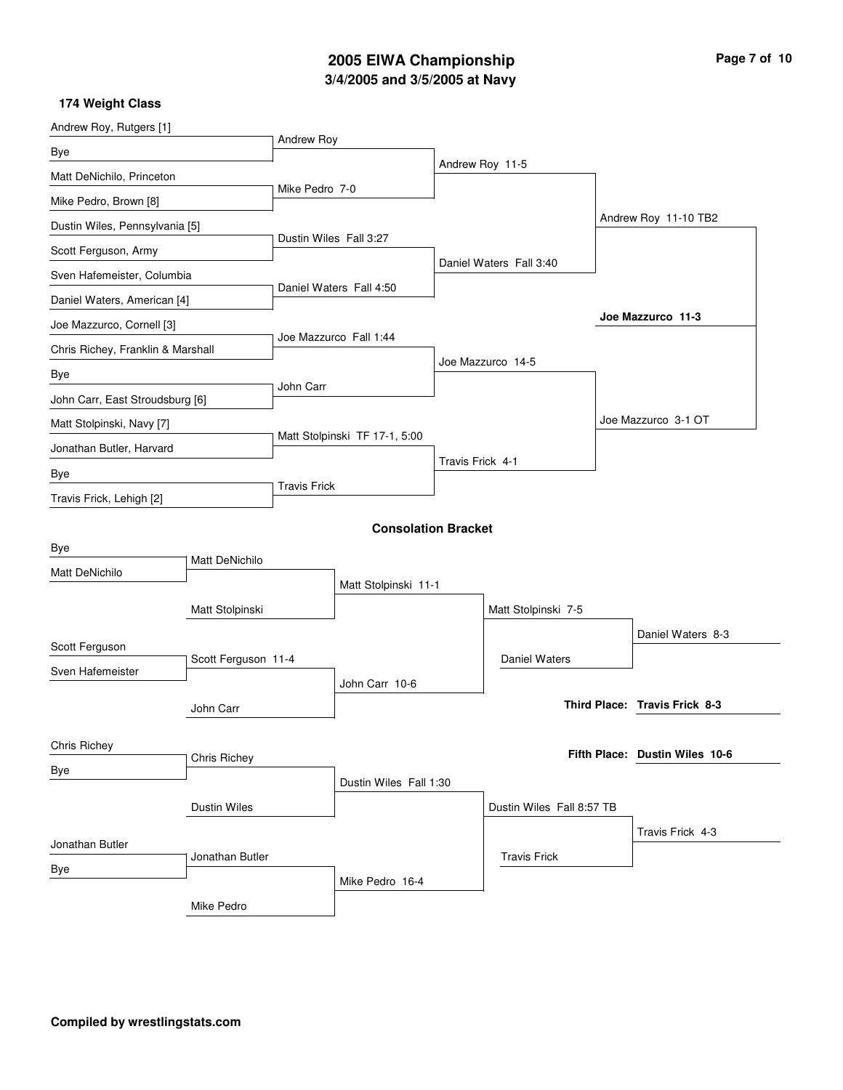# **3/4/2005 and 3/5/2005 at Navy 2005 EIWA Championship Page 7 of 10**

| Andrew Roy, Rutgers [1]           |                                 |                         |                               |                  |                           |                                |
|-----------------------------------|---------------------------------|-------------------------|-------------------------------|------------------|---------------------------|--------------------------------|
| Bye                               |                                 | Andrew Roy              |                               |                  |                           |                                |
| Matt DeNichilo, Princeton         |                                 |                         |                               |                  | Andrew Roy 11-5           |                                |
| Mike Pedro, Brown [8]             |                                 | Mike Pedro 7-0          |                               |                  |                           |                                |
| Dustin Wiles, Pennsylvania [5]    |                                 |                         |                               |                  |                           | Andrew Roy 11-10 TB2           |
| Scott Ferguson, Army              |                                 | Dustin Wiles Fall 3:27  |                               |                  |                           |                                |
| Sven Hafemeister, Columbia        |                                 |                         |                               |                  | Daniel Waters Fall 3:40   |                                |
| Daniel Waters, American [4]       |                                 | Daniel Waters Fall 4:50 |                               |                  |                           |                                |
| Joe Mazzurco, Cornell [3]         |                                 |                         | Joe Mazzurco Fall 1:44        |                  |                           | Joe Mazzurco 11-3              |
| Chris Richey, Franklin & Marshall |                                 |                         |                               |                  | Joe Mazzurco 14-5         |                                |
| Bye                               |                                 | John Carr               |                               |                  |                           |                                |
|                                   | John Carr, East Stroudsburg [6] |                         |                               |                  |                           |                                |
| Matt Stolpinski, Navy [7]         |                                 |                         | Matt Stolpinski TF 17-1, 5:00 |                  |                           | Joe Mazzurco 3-1 OT            |
| Jonathan Butler, Harvard          |                                 |                         |                               | Travis Frick 4-1 |                           |                                |
| Bye                               |                                 | <b>Travis Frick</b>     |                               |                  |                           |                                |
| Travis Frick, Lehigh [2]          |                                 |                         |                               |                  |                           |                                |
|                                   |                                 |                         | <b>Consolation Bracket</b>    |                  |                           |                                |
| Bye                               | <b>Matt DeNichilo</b>           |                         |                               |                  |                           |                                |
| Matt DeNichilo                    |                                 |                         | Matt Stolpinski 11-1          |                  |                           |                                |
|                                   | Matt Stolpinski                 |                         |                               |                  | Matt Stolpinski 7-5       |                                |
|                                   |                                 |                         |                               |                  |                           | Daniel Waters 8-3              |
| Scott Ferguson                    | Scott Ferguson 11-4             |                         |                               |                  | Daniel Waters             |                                |
| Sven Hafemeister                  |                                 |                         | John Carr 10-6                |                  |                           |                                |
|                                   | John Carr                       |                         |                               |                  |                           | Third Place: Travis Frick 8-3  |
|                                   |                                 |                         |                               |                  |                           |                                |
| Chris Richey                      | <b>Chris Richey</b>             |                         |                               |                  |                           | Fifth Place: Dustin Wiles 10-6 |
| Bye                               |                                 |                         | Dustin Wiles Fall 1:30        |                  |                           |                                |
|                                   | <b>Dustin Wiles</b>             |                         |                               |                  | Dustin Wiles Fall 8:57 TB |                                |
|                                   |                                 |                         |                               |                  |                           | Travis Frick 4-3               |
| Jonathan Butler                   | Jonathan Butler                 |                         |                               |                  | <b>Travis Frick</b>       |                                |
| Bye                               |                                 |                         | Mike Pedro 16-4               |                  |                           |                                |
|                                   | Mike Pedro                      |                         |                               |                  |                           |                                |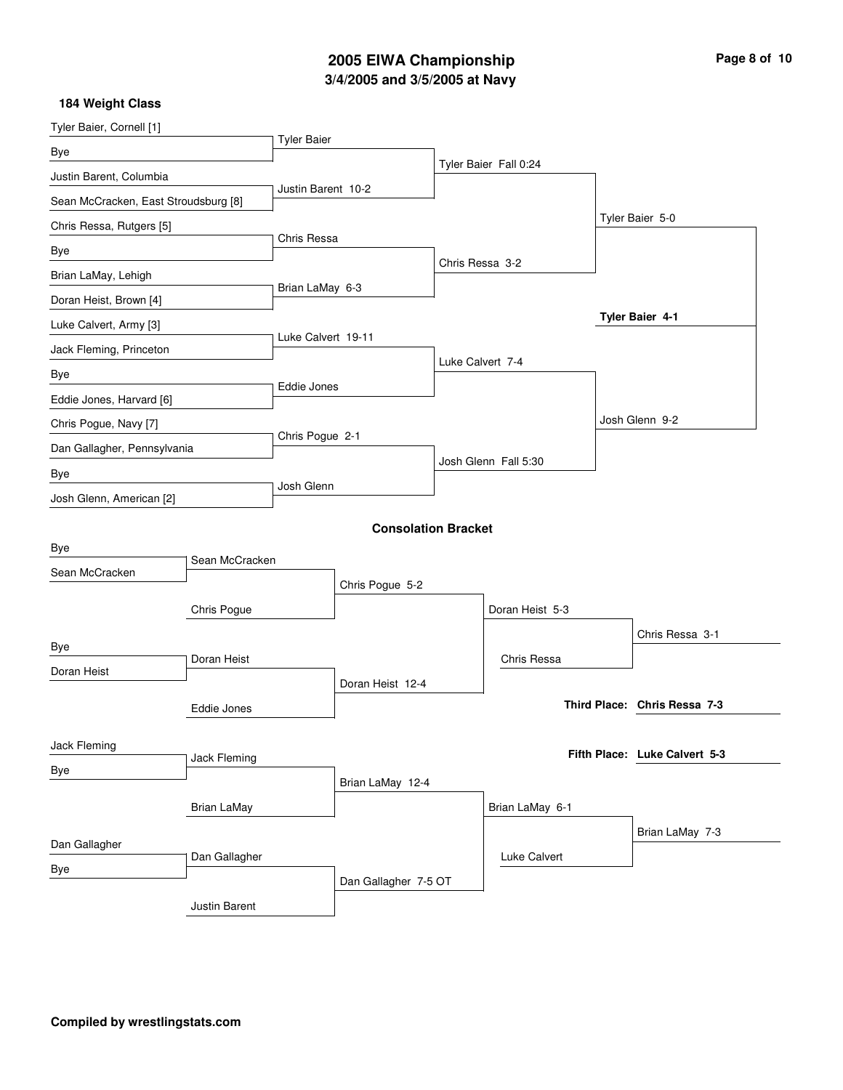# **3/4/2005 and 3/5/2005 at Navy 2005 EIWA Championship Page 8 of 10**

| Tyler Baier, Cornell [1]             |                    |                    |                            |                  |                       |                               |
|--------------------------------------|--------------------|--------------------|----------------------------|------------------|-----------------------|-------------------------------|
| Bye                                  |                    | <b>Tyler Baier</b> |                            |                  |                       |                               |
| Justin Barent, Columbia              |                    |                    |                            |                  | Tyler Baier Fall 0:24 |                               |
| Sean McCracken, East Stroudsburg [8] |                    | Justin Barent 10-2 |                            |                  |                       |                               |
| Chris Ressa, Rutgers [5]             |                    |                    |                            |                  |                       | Tyler Baier 5-0               |
| Bye                                  |                    | Chris Ressa        |                            |                  |                       |                               |
| Brian LaMay, Lehigh                  |                    |                    |                            | Chris Ressa 3-2  |                       |                               |
| Doran Heist, Brown [4]               |                    | Brian LaMay 6-3    |                            |                  |                       |                               |
| Luke Calvert, Army [3]               |                    |                    |                            |                  |                       | Tyler Baier 4-1               |
| Jack Fleming, Princeton              |                    | Luke Calvert 19-11 |                            |                  |                       |                               |
| Bye                                  |                    |                    |                            | Luke Calvert 7-4 |                       |                               |
| Eddie Jones, Harvard [6]             |                    | Eddie Jones        |                            |                  |                       |                               |
| Chris Pogue, Navy [7]                |                    |                    |                            |                  |                       | Josh Glenn 9-2                |
| Dan Gallagher, Pennsylvania          |                    | Chris Pogue 2-1    |                            |                  |                       |                               |
| Bye                                  |                    |                    |                            |                  | Josh Glenn Fall 5:30  |                               |
| Josh Glenn, American [2]             |                    | Josh Glenn         |                            |                  |                       |                               |
|                                      |                    |                    | <b>Consolation Bracket</b> |                  |                       |                               |
| Bye                                  |                    |                    |                            |                  |                       |                               |
| Sean McCracken                       | Sean McCracken     |                    |                            |                  |                       |                               |
|                                      |                    |                    | Chris Pogue 5-2            |                  |                       |                               |
|                                      | Chris Pogue        |                    |                            |                  | Doran Heist 5-3       |                               |
| Bye                                  |                    |                    |                            |                  |                       | Chris Ressa 3-1               |
| Doran Heist                          | Doran Heist        |                    |                            |                  | Chris Ressa           |                               |
|                                      |                    |                    | Doran Heist 12-4           |                  |                       |                               |
|                                      | Eddie Jones        |                    |                            |                  |                       | Third Place: Chris Ressa 7-3  |
| Jack Fleming                         |                    |                    |                            |                  |                       |                               |
| Bye                                  | Jack Fleming       |                    |                            |                  |                       | Fifth Place: Luke Calvert 5-3 |
|                                      |                    |                    | Brian LaMay 12-4           |                  |                       |                               |
|                                      | <b>Brian LaMay</b> |                    |                            |                  | Brian LaMay 6-1       |                               |
| Dan Gallagher                        |                    |                    |                            |                  |                       | Brian LaMay 7-3               |
| Bye                                  | Dan Gallagher      |                    |                            |                  | Luke Calvert          |                               |
|                                      |                    |                    | Dan Gallagher 7-5 OT       |                  |                       |                               |
|                                      | Justin Barent      |                    |                            |                  |                       |                               |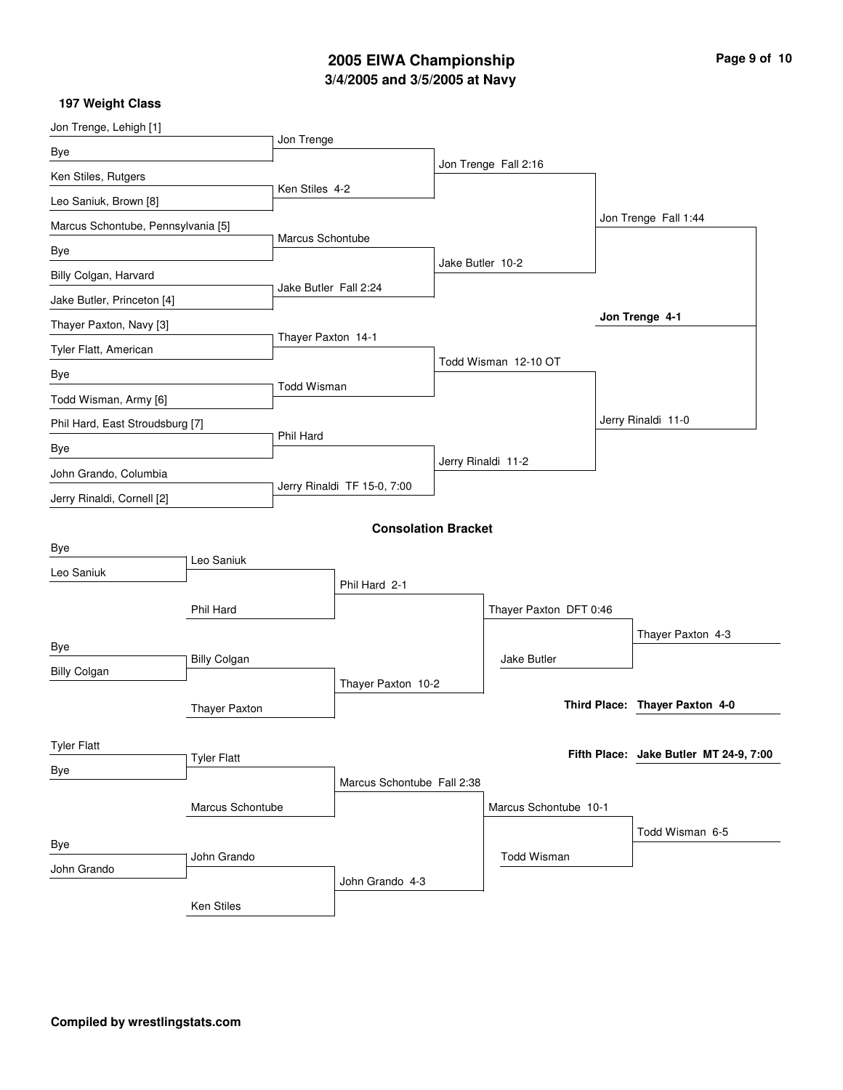# **3/4/2005 and 3/5/2005 at Navy 2005 EIWA Championship Page 9 of 10**

| Jon Trenge, Lehigh [1]             |                      |                       |                             |                  |                        |                                        |  |
|------------------------------------|----------------------|-----------------------|-----------------------------|------------------|------------------------|----------------------------------------|--|
| Bye                                |                      | Jon Trenge            |                             |                  |                        |                                        |  |
| Ken Stiles, Rutgers                |                      |                       |                             |                  | Jon Trenge Fall 2:16   |                                        |  |
| Leo Saniuk, Brown [8]              |                      | Ken Stiles 4-2        |                             |                  |                        |                                        |  |
| Marcus Schontube, Pennsylvania [5] |                      |                       |                             |                  |                        | Jon Trenge Fall 1:44                   |  |
| Bye                                |                      | Marcus Schontube      |                             |                  |                        |                                        |  |
| Billy Colgan, Harvard              |                      |                       |                             | Jake Butler 10-2 |                        |                                        |  |
| Jake Butler, Princeton [4]         |                      | Jake Butler Fall 2:24 |                             |                  |                        |                                        |  |
| Thayer Paxton, Navy [3]            |                      |                       |                             |                  |                        | Jon Trenge 4-1                         |  |
| Tyler Flatt, American              |                      | Thayer Paxton 14-1    |                             |                  |                        |                                        |  |
| Bye                                |                      |                       |                             |                  | Todd Wisman 12-10 OT   |                                        |  |
| Todd Wisman, Army [6]              |                      | <b>Todd Wisman</b>    |                             |                  |                        |                                        |  |
| Phil Hard, East Stroudsburg [7]    |                      |                       |                             |                  |                        | Jerry Rinaldi 11-0                     |  |
| Bye                                |                      | Phil Hard             |                             |                  |                        |                                        |  |
| John Grando, Columbia              |                      |                       |                             |                  | Jerry Rinaldi 11-2     |                                        |  |
| Jerry Rinaldi, Cornell [2]         |                      |                       | Jerry Rinaldi TF 15-0, 7:00 |                  |                        |                                        |  |
|                                    |                      |                       | <b>Consolation Bracket</b>  |                  |                        |                                        |  |
| Bye                                |                      |                       |                             |                  |                        |                                        |  |
| Leo Saniuk                         | Leo Saniuk           |                       |                             |                  |                        |                                        |  |
|                                    |                      |                       | Phil Hard 2-1               |                  |                        |                                        |  |
|                                    | Phil Hard            |                       |                             |                  | Thayer Paxton DFT 0:46 |                                        |  |
| Bye                                |                      |                       |                             |                  |                        | Thayer Paxton 4-3                      |  |
| <b>Billy Colgan</b>                | <b>Billy Colgan</b>  |                       |                             |                  | Jake Butler            |                                        |  |
|                                    |                      |                       | Thayer Paxton 10-2          |                  |                        | Third Place: Thayer Paxton 4-0         |  |
|                                    | <b>Thayer Paxton</b> |                       |                             |                  |                        |                                        |  |
| <b>Tyler Flatt</b>                 |                      |                       |                             |                  |                        | Fifth Place: Jake Butler MT 24-9, 7:00 |  |
| Bye                                | <b>Tyler Flatt</b>   |                       |                             |                  |                        |                                        |  |
|                                    |                      |                       | Marcus Schontube Fall 2:38  |                  |                        |                                        |  |
|                                    | Marcus Schontube     |                       |                             |                  | Marcus Schontube 10-1  |                                        |  |
| Bye                                |                      |                       |                             |                  |                        | Todd Wisman 6-5                        |  |
| John Grando                        | John Grando          |                       |                             |                  | <b>Todd Wisman</b>     |                                        |  |
|                                    |                      |                       | John Grando 4-3             |                  |                        |                                        |  |
|                                    | Ken Stiles           |                       |                             |                  |                        |                                        |  |